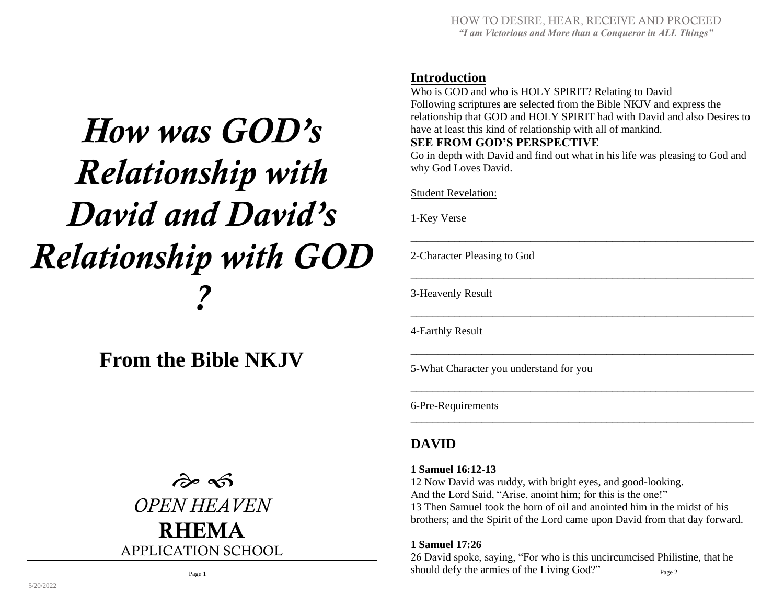## **Introduction**

Who is GOD and who is HOLY SPIRIT? Relating to David Following scriptures are selected from the Bible NKJV and express the relationship that GOD and HOLY SPIRIT had with David and also Desires to have at least this kind of relationship with all of mankind.

#### **SEE FROM GOD'S PERSPECTIVE**

Go in depth with David and find out what in his life was pleasing to God and why God Loves David.

\_\_\_\_\_\_\_\_\_\_\_\_\_\_\_\_\_\_\_\_\_\_\_\_\_\_\_\_\_\_\_\_\_\_\_\_\_\_\_\_\_\_\_\_\_\_\_\_\_\_\_\_\_\_\_\_\_\_\_\_\_\_\_

\_\_\_\_\_\_\_\_\_\_\_\_\_\_\_\_\_\_\_\_\_\_\_\_\_\_\_\_\_\_\_\_\_\_\_\_\_\_\_\_\_\_\_\_\_\_\_\_\_\_\_\_\_\_\_\_\_\_\_\_\_\_\_

\_\_\_\_\_\_\_\_\_\_\_\_\_\_\_\_\_\_\_\_\_\_\_\_\_\_\_\_\_\_\_\_\_\_\_\_\_\_\_\_\_\_\_\_\_\_\_\_\_\_\_\_\_\_\_\_\_\_\_\_\_\_\_

\_\_\_\_\_\_\_\_\_\_\_\_\_\_\_\_\_\_\_\_\_\_\_\_\_\_\_\_\_\_\_\_\_\_\_\_\_\_\_\_\_\_\_\_\_\_\_\_\_\_\_\_\_\_\_\_\_\_\_\_\_\_\_

\_\_\_\_\_\_\_\_\_\_\_\_\_\_\_\_\_\_\_\_\_\_\_\_\_\_\_\_\_\_\_\_\_\_\_\_\_\_\_\_\_\_\_\_\_\_\_\_\_\_\_\_\_\_\_\_\_\_\_\_\_\_\_

\_\_\_\_\_\_\_\_\_\_\_\_\_\_\_\_\_\_\_\_\_\_\_\_\_\_\_\_\_\_\_\_\_\_\_\_\_\_\_\_\_\_\_\_\_\_\_\_\_\_\_\_\_\_\_\_\_\_\_\_\_\_\_

Student Revelation:

1-Key Verse

2-Character Pleasing to God

3-Heavenly Result

4-Earthly Result

5-What Character you understand for you

6-Pre-Requirements

## **DAVID**

#### **1 Samuel 16:12-13**

12 Now David was ruddy, with bright eyes, and good-looking. And the Lord Said, "Arise, anoint him; for this is the one!" 13 Then Samuel took the horn of oil and anointed him in the midst of his brothers; and the Spirit of the Lord came upon David from that day forward.

#### **1 Samuel 17:26**

26 David spoke, saying, "For who is this uncircumcised Philistine, that he should defy the armies of the Living God?"  $_{\text{Page 2}}$ 

# *How was GOD's Relationship with David and David's Relationship with GOD ?*

**From the Bible NKJV**

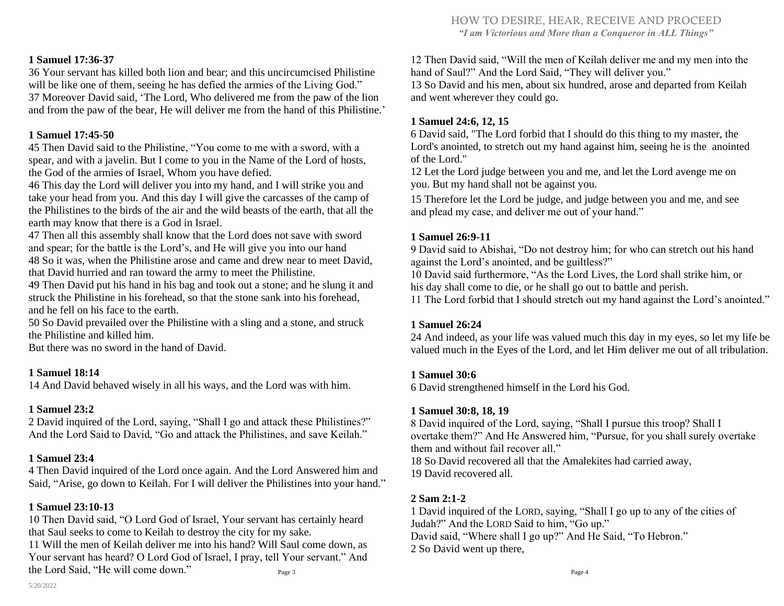#### **1 Samuel 17:36-37**

36 Your servant has killed both lion and bear; and this uncircumcised Philistine will be like one of them, seeing he has defied the armies of the Living God." 37 Moreover David said, 'The Lord, Who delivered me from the paw of the lion and from the paw of the bear, He will deliver me from the hand of this Philistine.'

#### **1 Samuel 17:45-50**

45 Then David said to the Philistine, "You come to me with a sword, with a spear, and with a javelin. But I come to you in the Name of the Lord of hosts, the God of the armies of Israel, Whom you have defied.

46 This day the Lord will deliver you into my hand, and I will strike you and take your head from you. And this day I will give the carcasses of the camp of the Philistines to the birds of the air and the wild beasts of the earth, that all the earth may know that there is a God in Israel.

47 Then all this assembly shall know that the Lord does not save with sword and spear; for the battle is the Lord's, and He will give you into our hand 48 So it was, when the Philistine arose and came and drew near to meet David, that David hurried and ran toward the army to meet the Philistine.

49 Then David put his hand in his bag and took out a stone; and he slung it and struck the Philistine in his forehead, so that the stone sank into his forehead, and he fell on his face to the earth.

50 So David prevailed over the Philistine with a sling and a stone, and struck the Philistine and killed him.

But there was no sword in the hand of David.

#### **1 Samuel 18:14**

14 And David behaved wisely in all his ways, and the Lord was with him.

#### **1 Samuel 23:2**

2 David inquired of the Lord, saying, "Shall I go and attack these Philistines?" And the Lord Said to David, "Go and attack the Philistines, and save Keilah."

#### **1 Samuel 23:4**

4 Then David inquired of the Lord once again. And the Lord Answered him and Said, "Arise, go down to Keilah. For I will deliver the Philistines into your hand."

#### **1 Samuel 23:10-13**

10 Then David said, "O Lord God of Israel, Your servant has certainly heard that Saul seeks to come to Keilah to destroy the city for my sake.

11 Will the men of Keilah deliver me into his hand? Will Saul come down, as Your servant has heard? O Lord God of Israel, I pray, tell Your servant." And the Lord Said, "He will come down."

12 Then David said, "Will the men of Keilah deliver me and my men into the hand of Saul?" And the Lord Said, "They will deliver you."

13 So David and his men, about six hundred, arose and departed from Keilah and went wherever they could go.

#### **1 Samuel 24:6, 12, 15**

6 David said, "The Lord forbid that I should do this thing to my master, the Lord's anointed, to stretch out my hand against him, seeing he is the anointed of the Lord."

12 Let the Lord judge between you and me, and let the Lord avenge me on you. But my hand shall not be against you.

15 Therefore let the Lord be judge, and judge between you and me, and see and plead my case, and deliver me out of your hand."

#### **1 Samuel 26:9-11**

9 David said to Abishai, "Do not destroy him; for who can stretch out his hand against the Lord's anointed, and be guiltless?"

10 David said furthermore, "As the Lord Lives, the Lord shall strike him, or his day shall come to die, or he shall go out to battle and perish.

11 The Lord forbid that I should stretch out my hand against the Lord's anointed."

#### **1 Samuel 26:24**

24 And indeed, as your life was valued much this day in my eyes, so let my life be valued much in the Eyes of the Lord, and let Him deliver me out of all tribulation.

#### **1 Samuel 30:6**

6 David strengthened himself in the Lord his God.

#### **1 Samuel 30:8, 18, 19**

8 David inquired of the Lord, saying, "Shall I pursue this troop? Shall I overtake them?" And He Answered him, "Pursue, for you shall surely overtake them and without fail recover all." 18 So David recovered all that the Amalekites had carried away,

19 David recovered all.

#### **2 Sam 2:1-2**

1 David inquired of the LORD, saying, "Shall I go up to any of the cities of Judah?" And the LORD Said to him, "Go up." David said, "Where shall I go up?" And He Said, "To Hebron." 2 So David went up there,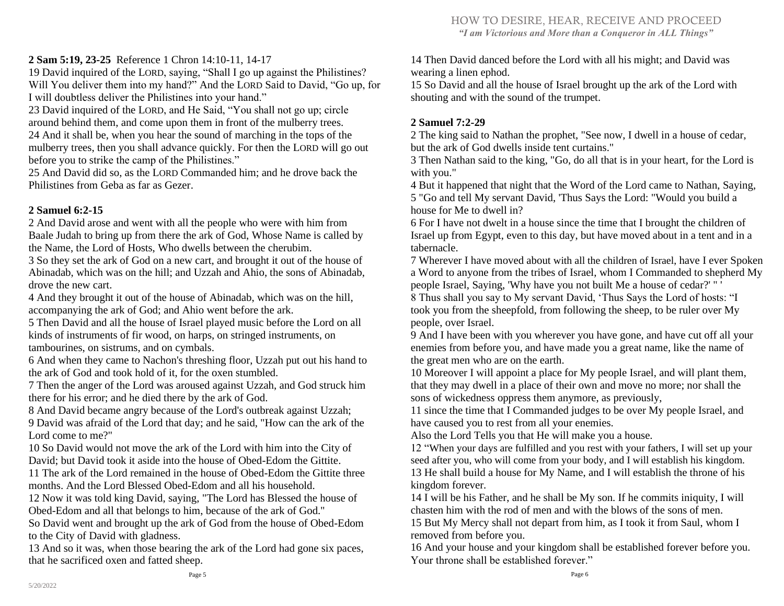#### **2 Sam 5:19, 23-25** Reference 1 Chron 14:10-11, 14-17

19 David inquired of the LORD, saying, "Shall I go up against the Philistines? Will You deliver them into my hand?" And the LORD Said to David, "Go up, for I will doubtless deliver the Philistines into your hand."

23 David inquired of the LORD, and He Said, "You shall not go up; circle around behind them, and come upon them in front of the mulberry trees. 24 And it shall be, when you hear the sound of marching in the tops of the mulberry trees, then you shall advance quickly. For then the LORD will go out before you to strike the camp of the Philistines."

25 And David did so, as the LORD Commanded him; and he drove back the Philistines from Geba as far as Gezer.

#### **2 Samuel 6:2-15**

2 And David arose and went with all the people who were with him from Baale Judah to bring up from there the ark of God, Whose Name is called by the Name, the Lord of Hosts, Who dwells between the cherubim.

3 So they set the ark of God on a new cart, and brought it out of the house of Abinadab, which was on the hill; and Uzzah and Ahio, the sons of Abinadab, drove the new cart.

4 And they brought it out of the house of Abinadab, which was on the hill, accompanying the ark of God; and Ahio went before the ark.

5 Then David and all the house of Israel played music before the Lord on all kinds of instruments of fir wood, on harps, on stringed instruments, on tambourines, on sistrums, and on cymbals.

6 And when they came to Nachon's threshing floor, Uzzah put out his hand to the ark of God and took hold of it, for the oxen stumbled.

7 Then the anger of the Lord was aroused against Uzzah, and God struck him there for his error; and he died there by the ark of God.

8 And David became angry because of the Lord's outbreak against Uzzah; 9 David was afraid of the Lord that day; and he said, "How can the ark of the Lord come to me?"

10 So David would not move the ark of the Lord with him into the City of David; but David took it aside into the house of Obed-Edom the Gittite.

11 The ark of the Lord remained in the house of Obed-Edom the Gittite three months. And the Lord Blessed Obed-Edom and all his household.

12 Now it was told king David, saying, "The Lord has Blessed the house of Obed-Edom and all that belongs to him, because of the ark of God."

So David went and brought up the ark of God from the house of Obed-Edom to the City of David with gladness.

13 And so it was, when those bearing the ark of the Lord had gone six paces, that he sacrificed oxen and fatted sheep.

14 Then David danced before the Lord with all his might; and David was wearing a linen ephod.

15 So David and all the house of Israel brought up the ark of the Lord with shouting and with the sound of the trumpet.

#### **2 Samuel 7:2-29**

2 The king said to Nathan the prophet, "See now, I dwell in a house of cedar, but the ark of God dwells inside tent curtains."

3 Then Nathan said to the king, "Go, do all that is in your heart, for the Lord is with you."

4 But it happened that night that the Word of the Lord came to Nathan, Saying, 5 "Go and tell My servant David, 'Thus Says the Lord: "Would you build a house for Me to dwell in?

6 For I have not dwelt in a house since the time that I brought the children of Israel up from Egypt, even to this day, but have moved about in a tent and in a tabernacle.

7 Wherever I have moved about with all the children of Israel, have I ever Spoken a Word to anyone from the tribes of Israel, whom I Commanded to shepherd My people Israel, Saying, 'Why have you not built Me a house of cedar?' " '

8 Thus shall you say to My servant David, 'Thus Says the Lord of hosts: "I took you from the sheepfold, from following the sheep, to be ruler over My people, over Israel.

9 And I have been with you wherever you have gone, and have cut off all your enemies from before you, and have made you a great name, like the name of the great men who are on the earth.

10 Moreover I will appoint a place for My people Israel, and will plant them, that they may dwell in a place of their own and move no more; nor shall the sons of wickedness oppress them anymore, as previously,

11 since the time that I Commanded judges to be over My people Israel, and have caused you to rest from all your enemies.

Also the Lord Tells you that He will make you a house.

12 "When your days are fulfilled and you rest with your fathers, I will set up your seed after you, who will come from your body, and I will establish his kingdom. 13 He shall build a house for My Name, and I will establish the throne of his kingdom forever.

14 I will be his Father, and he shall be My son. If he commits iniquity, I will chasten him with the rod of men and with the blows of the sons of men.

15 But My Mercy shall not depart from him, as I took it from Saul, whom I removed from before you.

16 And your house and your kingdom shall be established forever before you. Your throne shall be established forever."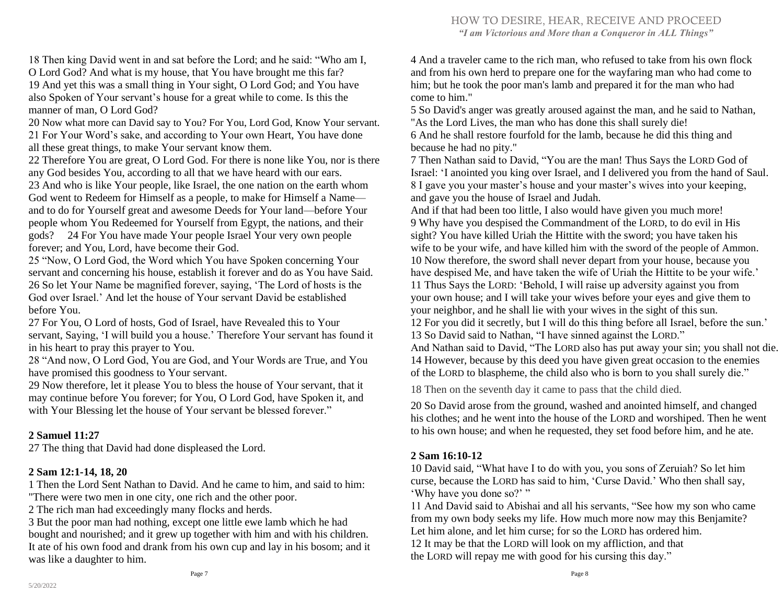18 Then king David went in and sat before the Lord; and he said: "Who am I, O Lord God? And what is my house, that You have brought me this far? 19 And yet this was a small thing in Your sight, O Lord God; and You have also Spoken of Your servant's house for a great while to come. Is this the manner of man, O Lord God?

20 Now what more can David say to You? For You, Lord God, Know Your servant. 21 For Your Word's sake, and according to Your own Heart, You have done all these great things, to make Your servant know them.

22 Therefore You are great, O Lord God. For there is none like You, nor is there any God besides You, according to all that we have heard with our ears.

23 And who is like Your people, like Israel, the one nation on the earth whom God went to Redeem for Himself as a people, to make for Himself a Name and to do for Yourself great and awesome Deeds for Your land—before Your people whom You Redeemed for Yourself from Egypt, the nations, and their gods? 24 For You have made Your people Israel Your very own people forever; and You, Lord, have become their God.

25 "Now, O Lord God, the Word which You have Spoken concerning Your servant and concerning his house, establish it forever and do as You have Said. 26 So let Your Name be magnified forever, saying, 'The Lord of hosts is the God over Israel.' And let the house of Your servant David be established before You.

27 For You, O Lord of hosts, God of Israel, have Revealed this to Your servant, Saying, 'I will build you a house.' Therefore Your servant has found it in his heart to pray this prayer to You.

28 "And now, O Lord God, You are God, and Your Words are True, and You have promised this goodness to Your servant.

29 Now therefore, let it please You to bless the house of Your servant, that it may continue before You forever; for You, O Lord God, have Spoken it, and with Your Blessing let the house of Your servant be blessed forever."

#### **2 Samuel 11:27**

27 The thing that David had done displeased the Lord.

#### **2 Sam 12:1-14, 18, 20**

1 Then the Lord Sent Nathan to David. And he came to him, and said to him: "There were two men in one city, one rich and the other poor.

2 The rich man had exceedingly many flocks and herds.

3 But the poor man had nothing, except one little ewe lamb which he had bought and nourished; and it grew up together with him and with his children. It ate of his own food and drank from his own cup and lay in his bosom; and it was like a daughter to him.

4 And a traveler came to the rich man, who refused to take from his own flock and from his own herd to prepare one for the wayfaring man who had come to him; but he took the poor man's lamb and prepared it for the man who had come to him."

5 So David's anger was greatly aroused against the man, and he said to Nathan, "As the Lord Lives, the man who has done this shall surely die! 6 And he shall restore fourfold for the lamb, because he did this thing and

because he had no pity." 7 Then Nathan said to David, "You are the man! Thus Says the LORD God of Israel: 'I anointed you king over Israel, and I delivered you from the hand of Saul. 8 I gave you your master's house and your master's wives into your keeping, and gave you the house of Israel and Judah.

And if that had been too little, I also would have given you much more! 9 Why have you despised the Commandment of the LORD, to do evil in His sight? You have killed Uriah the Hittite with the sword; you have taken his wife to be your wife, and have killed him with the sword of the people of Ammon. 10 Now therefore, the sword shall never depart from your house, because you have despised Me, and have taken the wife of Uriah the Hittite to be your wife.' 11 Thus Says the LORD: 'Behold, I will raise up adversity against you from your own house; and I will take your wives before your eyes and give them to your neighbor, and he shall lie with your wives in the sight of this sun.

12 For you did it secretly, but I will do this thing before all Israel, before the sun.' 13 So David said to Nathan, "I have sinned against the LORD."

And Nathan said to David, "The LORD also has put away your sin; you shall not die. 14 However, because by this deed you have given great occasion to the enemies of the LORD to blaspheme, the child also who is born to you shall surely die."

18 Then on the seventh day it came to pass that the child died.

20 So David arose from the ground, washed and anointed himself, and changed his clothes; and he went into the house of the LORD and worshiped. Then he went to his own house; and when he requested, they set food before him, and he ate.

#### **2 Sam 16:10-12**

10 David said, "What have I to do with you, you sons of Zeruiah? So let him curse, because the LORD has said to him, 'Curse David.' Who then shall say, 'Why have you done so?' "

11 And David said to Abishai and all his servants, "See how my son who came from my own body seeks my life. How much more now may this Benjamite? Let him alone, and let him curse; for so the LORD has ordered him. 12 It may be that the LORD will look on my affliction, and that the LORD will repay me with good for his cursing this day."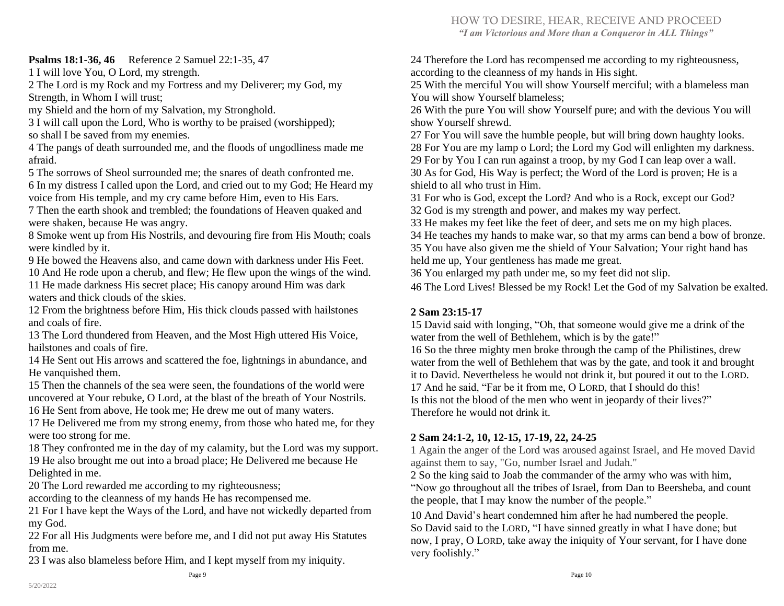#### HOW TO DESIRE, HEAR, RECEIVE AND PROCEED *"I am Victorious and More than a Conqueror in ALL Things"*

#### **Psalms 18:1-36, 46** Reference 2 Samuel 22:1-35, 47

1 I will love You, O Lord, my strength.

2 The Lord is my Rock and my Fortress and my Deliverer; my God, my Strength, in Whom I will trust;

my Shield and the horn of my Salvation, my Stronghold.

3 I will call upon the Lord, Who is worthy to be praised (worshipped); so shall I be saved from my enemies.

4 The pangs of death surrounded me, and the floods of ungodliness made me afraid.

5 The sorrows of Sheol surrounded me; the snares of death confronted me.

6 In my distress I called upon the Lord, and cried out to my God; He Heard my voice from His temple, and my cry came before Him, even to His Ears.

7 Then the earth shook and trembled; the foundations of Heaven quaked and were shaken, because He was angry.

8 Smoke went up from His Nostrils, and devouring fire from His Mouth; coals were kindled by it.

9 He bowed the Heavens also, and came down with darkness under His Feet. 10 And He rode upon a cherub, and flew; He flew upon the wings of the wind.

11 He made darkness His secret place; His canopy around Him was dark waters and thick clouds of the skies.

12 From the brightness before Him, His thick clouds passed with hailstones and coals of fire.

13 The Lord thundered from Heaven, and the Most High uttered His Voice, hailstones and coals of fire.

14 He Sent out His arrows and scattered the foe, lightnings in abundance, and He vanquished them.

15 Then the channels of the sea were seen, the foundations of the world were uncovered at Your rebuke, O Lord, at the blast of the breath of Your Nostrils.

16 He Sent from above, He took me; He drew me out of many waters.

17 He Delivered me from my strong enemy, from those who hated me, for they were too strong for me.

18 They confronted me in the day of my calamity, but the Lord was my support. 19 He also brought me out into a broad place; He Delivered me because He Delighted in me.

20 The Lord rewarded me according to my righteousness;

according to the cleanness of my hands He has recompensed me.

21 For I have kept the Ways of the Lord, and have not wickedly departed from my God.

22 For all His Judgments were before me, and I did not put away His Statutes from me.

23 I was also blameless before Him, and I kept myself from my iniquity.

24 Therefore the Lord has recompensed me according to my righteousness, according to the cleanness of my hands in His sight.

25 With the merciful You will show Yourself merciful; with a blameless man You will show Yourself blameless;

26 With the pure You will show Yourself pure; and with the devious You will show Yourself shrewd.

 For You will save the humble people, but will bring down haughty looks. For You are my lamp o Lord; the Lord my God will enlighten my darkness. For by You I can run against a troop, by my God I can leap over a wall. As for God, His Way is perfect; the Word of the Lord is proven; He is a shield to all who trust in Him.

31 For who is God, except the Lord? And who is a Rock, except our God? 32 God is my strength and power, and makes my way perfect.

33 He makes my feet like the feet of deer, and sets me on my high places.

34 He teaches my hands to make war, so that my arms can bend a bow of bronze. 35 You have also given me the shield of Your Salvation; Your right hand has held me up, Your gentleness has made me great.

36 You enlarged my path under me, so my feet did not slip.

46 The Lord Lives! Blessed be my Rock! Let the God of my Salvation be exalted.

#### **2 Sam 23:15-17**

15 David said with longing, "Oh, that someone would give me a drink of the water from the well of Bethlehem, which is by the gate!"

16 So the three mighty men broke through the camp of the Philistines, drew water from the well of Bethlehem that was by the gate, and took it and brought it to David. Nevertheless he would not drink it, but poured it out to the LORD. 17 And he said, "Far be it from me, O LORD, that I should do this! Is this not the blood of the men who went in jeopardy of their lives?" Therefore he would not drink it.

#### **2 Sam 24:1-2, 10, 12-15, 17-19, 22, 24-25**

1 Again the anger of the Lord was aroused against Israel, and He moved David against them to say, "Go, number Israel and Judah."

2 So the king said to Joab the commander of the army who was with him, "Now go throughout all the tribes of Israel, from Dan to Beersheba, and count the people, that I may know the number of the people."

10 And David's heart condemned him after he had numbered the people. So David said to the LORD, "I have sinned greatly in what I have done; but now, I pray, O LORD, take away the iniquity of Your servant, for I have done very foolishly."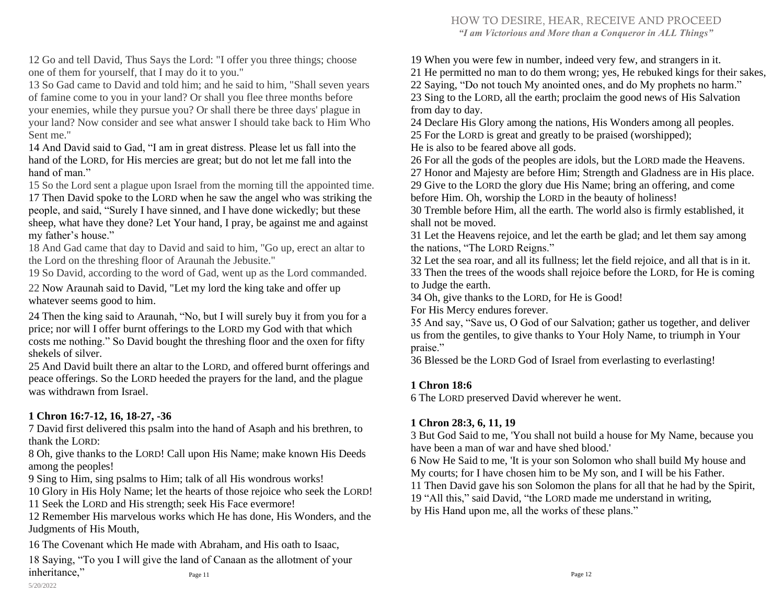#### HOW TO DESIRE, HEAR, RECEIVE AND PROCEED

*"I am Victorious and More than a Conqueror in ALL Things"* 

12 Go and tell David, Thus Says the Lord: "I offer you three things; choose one of them for yourself, that I may do it to you."

13 So Gad came to David and told him; and he said to him, "Shall seven years of famine come to you in your land? Or shall you flee three months before your enemies, while they pursue you? Or shall there be three days' plague in your land? Now consider and see what answer I should take back to Him Who Sent me."

14 And David said to Gad, "I am in great distress. Please let us fall into the hand of the LORD, for His mercies are great; but do not let me fall into the hand of man."

15 So the Lord sent a plague upon Israel from the morning till the appointed time. 17 Then David spoke to the LORD when he saw the angel who was striking the people, and said, "Surely I have sinned, and I have done wickedly; but these sheep, what have they done? Let Your hand, I pray, be against me and against my father's house."

18 And Gad came that day to David and said to him, "Go up, erect an altar to the Lord on the threshing floor of Araunah the Jebusite."

19 So David, according to the word of Gad, went up as the Lord commanded.

22 Now Araunah said to David, "Let my lord the king take and offer up whatever seems good to him.

24 Then the king said to Araunah, "No, but I will surely buy it from you for a price; nor will I offer burnt offerings to the LORD my God with that which costs me nothing." So David bought the threshing floor and the oxen for fifty shekels of silver.

25 And David built there an altar to the LORD, and offered burnt offerings and peace offerings. So the LORD heeded the prayers for the land, and the plague was withdrawn from Israel

#### **1 Chron 16:7-12, 16, 18-27, -36**

7 David first delivered this psalm into the hand of Asaph and his brethren, to thank the LORD:

8 Oh, give thanks to the LORD! Call upon His Name; make known His Deeds among the peoples!

9 Sing to Him, sing psalms to Him; talk of all His wondrous works!

10 Glory in His Holy Name; let the hearts of those rejoice who seek the LORD! 11 Seek the LORD and His strength; seek His Face evermore!

12 Remember His marvelous works which He has done, His Wonders, and the Judgments of His Mouth,

16 The Covenant which He made with Abraham, and His oath to Isaac,

18 Saying, "To you I will give the land of Canaan as the allotment of your inheritance," Page 11

19 When you were few in number, indeed very few, and strangers in it.

21 He permitted no man to do them wrong; yes, He rebuked kings for their sakes,

22 Saying, "Do not touch My anointed ones, and do My prophets no harm." 23 Sing to the LORD, all the earth; proclaim the good news of His Salvation from day to day.

24 Declare His Glory among the nations, His Wonders among all peoples. 25 For the LORD is great and greatly to be praised (worshipped); He is also to be feared above all gods.

26 For all the gods of the peoples are idols, but the LORD made the Heavens. 27 Honor and Majesty are before Him; Strength and Gladness are in His place. 29 Give to the LORD the glory due His Name; bring an offering, and come before Him. Oh, worship the LORD in the beauty of holiness!

30 Tremble before Him, all the earth. The world also is firmly established, it shall not be moved.

31 Let the Heavens rejoice, and let the earth be glad; and let them say among the nations, "The LORD Reigns."

32 Let the sea roar, and all its fullness; let the field rejoice, and all that is in it. 33 Then the trees of the woods shall rejoice before the LORD, for He is coming to Judge the earth.

34 Oh, give thanks to the LORD, for He is Good!

For His Mercy endures forever.

35 And say, "Save us, O God of our Salvation; gather us together, and deliver us from the gentiles, to give thanks to Your Holy Name, to triumph in Your praise."

36 Blessed be the LORD God of Israel from everlasting to everlasting!

#### **1 Chron 18:6**

6 The LORD preserved David wherever he went.

#### **1 Chron 28:3, 6, 11, 19**

3 But God Said to me, 'You shall not build a house for My Name, because you have been a man of war and have shed blood.'

6 Now He Said to me, 'It is your son Solomon who shall build My house and My courts; for I have chosen him to be My son, and I will be his Father.

11 Then David gave his son Solomon the plans for all that he had by the Spirit,

19 "All this," said David, "the LORD made me understand in writing,

by His Hand upon me, all the works of these plans."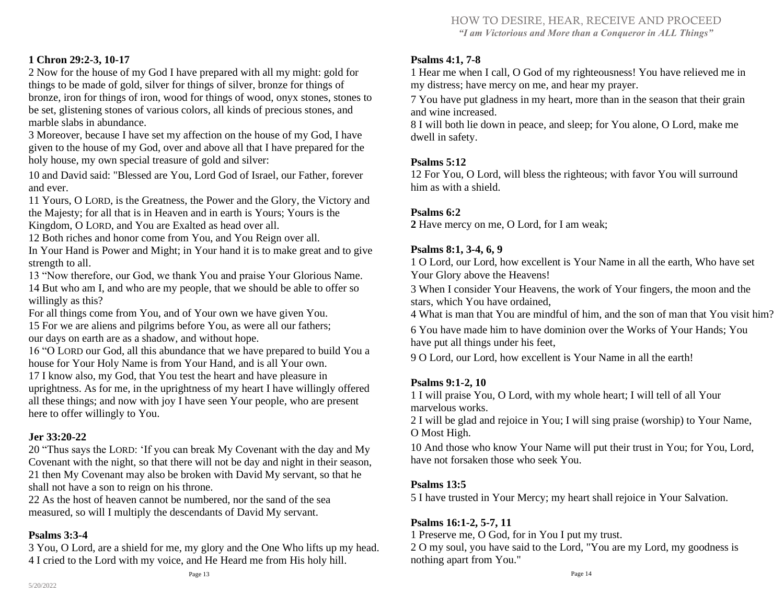# HOW TO DESIRE, HEAR, RECEIVE AND PROCEED

*"I am Victorious and More than a Conqueror in ALL Things"* 

#### **1 Chron 29:2-3, 10-17**

2 Now for the house of my God I have prepared with all my might: gold for things to be made of gold, silver for things of silver, bronze for things of bronze, iron for things of iron, wood for things of wood, onyx stones, stones to be set, glistening stones of various colors, all kinds of precious stones, and marble slabs in abundance.

3 Moreover, because I have set my affection on the house of my God, I have given to the house of my God, over and above all that I have prepared for the holy house, my own special treasure of gold and silver:

10 and David said: "Blessed are You, Lord God of Israel, our Father, forever and ever.

11 Yours, O LORD, is the Greatness, the Power and the Glory, the Victory and the Majesty; for all that is in Heaven and in earth is Yours; Yours is the Kingdom, O LORD, and You are Exalted as head over all.

12 Both riches and honor come from You, and You Reign over all.

In Your Hand is Power and Might; in Your hand it is to make great and to give strength to all.

13 "Now therefore, our God, we thank You and praise Your Glorious Name. 14 But who am I, and who are my people, that we should be able to offer so willingly as this?

For all things come from You, and of Your own we have given You.

15 For we are aliens and pilgrims before You, as were all our fathers; our days on earth are as a shadow, and without hope.

16 "O LORD our God, all this abundance that we have prepared to build You a house for Your Holy Name is from Your Hand, and is all Your own.

17 I know also, my God, that You test the heart and have pleasure in uprightness. As for me, in the uprightness of my heart I have willingly offered all these things; and now with joy I have seen Your people, who are present here to offer willingly to You.

#### **Jer 33:20-22**

20 "Thus says the LORD: 'If you can break My Covenant with the day and My Covenant with the night, so that there will not be day and night in their season, 21 then My Covenant may also be broken with David My servant, so that he shall not have a son to reign on his throne.

22 As the host of heaven cannot be numbered, nor the sand of the sea measured, so will I multiply the descendants of David My servant.

#### **Psalms 3:3-4**

3 You, O Lord, are a shield for me, my glory and the One Who lifts up my head. 4 I cried to the Lord with my voice, and He Heard me from His holy hill.

1 Hear me when I call, O God of my righteousness! You have relieved me in my distress; have mercy on me, and hear my prayer.

7 You have put gladness in my heart, more than in the season that their grain and wine increased.

8 I will both lie down in peace, and sleep; for You alone, O Lord, make me dwell in safety.

#### **Psalms 5:12**

12 For You, O Lord, will bless the righteous; with favor You will surround him as with a shield.

#### **Psalms 6:2**

**2** Have mercy on me, O Lord, for I am weak;

#### **Psalms 8:1, 3-4, 6, 9**

1 O Lord, our Lord, how excellent is Your Name in all the earth, Who have set Your Glory above the Heavens!

3 When I consider Your Heavens, the work of Your fingers, the moon and the stars, which You have ordained,

4 What is man that You are mindful of him, and the son of man that You visit him?

6 You have made him to have dominion over the Works of Your Hands; You have put all things under his feet,

9 O Lord, our Lord, how excellent is Your Name in all the earth!

#### **Psalms 9:1-2, 10**

1 I will praise You, O Lord, with my whole heart; I will tell of all Your marvelous works.

2 I will be glad and rejoice in You; I will sing praise (worship) to Your Name, O Most High.

10 And those who know Your Name will put their trust in You; for You, Lord, have not forsaken those who seek You.

#### **Psalms 13:5**

5 I have trusted in Your Mercy; my heart shall rejoice in Your Salvation.

#### **Psalms 16:1-2, 5-7, 11**

1 Preserve me, O God, for in You I put my trust.

2 O my soul, you have said to the Lord, "You are my Lord, my goodness is nothing apart from You."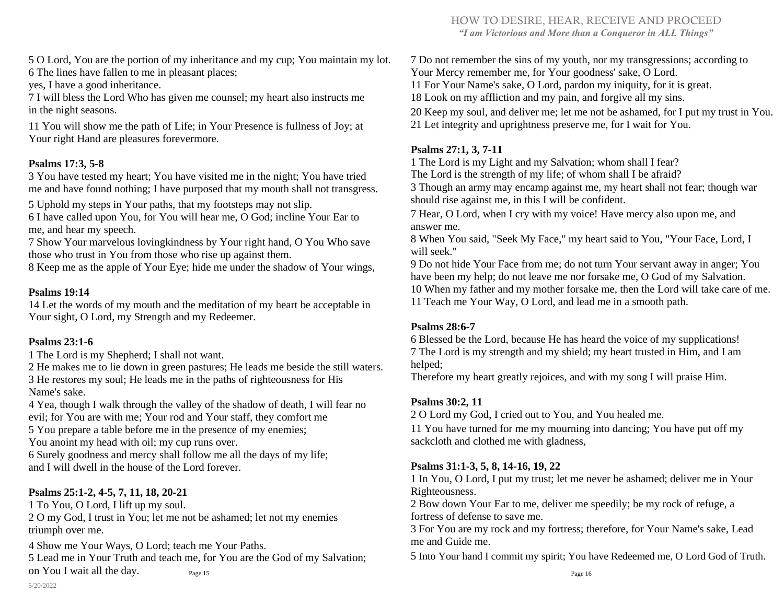HOW TO DESIRE, HEAR, RECEIVE AND PROCEED *"I am Victorious and More than a Conqueror in ALL Things"* 

5 O Lord, You are the portion of my inheritance and my cup; You maintain my lot. 6 The lines have fallen to me in pleasant places;

yes, I have a good inheritance.

7 I will bless the Lord Who has given me counsel; my heart also instructs me in the night seasons.

11 You will show me the path of Life; in Your Presence is fullness of Joy; at Your right Hand are pleasures forevermore.

#### **Psalms 17:3, 5-8**

3 You have tested my heart; You have visited me in the night; You have tried me and have found nothing; I have purposed that my mouth shall not transgress.

5 Uphold my steps in Your paths, that my footsteps may not slip.

6 I have called upon You, for You will hear me, O God; incline Your Ear to me, and hear my speech.

7 Show Your marvelous lovingkindness by Your right hand, O You Who save those who trust in You from those who rise up against them.

8 Keep me as the apple of Your Eye; hide me under the shadow of Your wings,

#### **Psalms 19:14**

14 Let the words of my mouth and the meditation of my heart be acceptable in Your sight, O Lord, my Strength and my Redeemer.

#### **Psalms 23:1-6**

1 The Lord is my Shepherd; I shall not want.

2 He makes me to lie down in green pastures; He leads me beside the still waters. 3 He restores my soul; He leads me in the paths of righteousness for His Name's sake.

4 Yea, though I walk through the valley of the shadow of death, I will fear no evil; for You are with me; Your rod and Your staff, they comfort me

5 You prepare a table before me in the presence of my enemies;

You anoint my head with oil; my cup runs over.

6 Surely goodness and mercy shall follow me all the days of my life; and I will dwell in the house of the Lord forever.

#### **Psalms 25:1-2, 4-5, 7, 11, 18, 20-21**

1 To You, O Lord, I lift up my soul.

2 O my God, I trust in You; let me not be ashamed; let not my enemies triumph over me.

4 Show me Your Ways, O Lord; teach me Your Paths.

5 Lead me in Your Truth and teach me, for You are the God of my Salvation; on You I wait all the day. Page 15

 Do not remember the sins of my youth, nor my transgressions; according to Your Mercy remember me, for Your goodness' sake, O Lord. For Your Name's sake, O Lord, pardon my iniquity, for it is great. Look on my affliction and my pain, and forgive all my sins. Keep my soul, and deliver me; let me not be ashamed, for I put my trust in You. Let integrity and uprightness preserve me, for I wait for You.

#### **Psalms 27:1, 3, 7-11**

1 The Lord is my Light and my Salvation; whom shall I fear?

The Lord is the strength of my life; of whom shall I be afraid?

3 Though an army may encamp against me, my heart shall not fear; though war should rise against me, in this I will be confident.

7 Hear, O Lord, when I cry with my voice! Have mercy also upon me, and answer me.

8 When You said, "Seek My Face," my heart said to You, "Your Face, Lord, I will seek."

 Do not hide Your Face from me; do not turn Your servant away in anger; You have been my help; do not leave me nor forsake me, O God of my Salvation. When my father and my mother forsake me, then the Lord will take care of me. Teach me Your Way, O Lord, and lead me in a smooth path.

#### **Psalms 28:6-7**

6 Blessed be the Lord, because He has heard the voice of my supplications! 7 The Lord is my strength and my shield; my heart trusted in Him, and I am helped;

Therefore my heart greatly rejoices, and with my song I will praise Him.

#### **Psalms 30:2, 11**

2 O Lord my God, I cried out to You, and You healed me.

11 You have turned for me my mourning into dancing; You have put off my sackcloth and clothed me with gladness,

#### **Psalms 31:1-3, 5, 8, 14-16, 19, 22**

1 In You, O Lord, I put my trust; let me never be ashamed; deliver me in Your Righteousness.

2 Bow down Your Ear to me, deliver me speedily; be my rock of refuge, a fortress of defense to save me.

3 For You are my rock and my fortress; therefore, for Your Name's sake, Lead me and Guide me.

5 Into Your hand I commit my spirit; You have Redeemed me, O Lord God of Truth.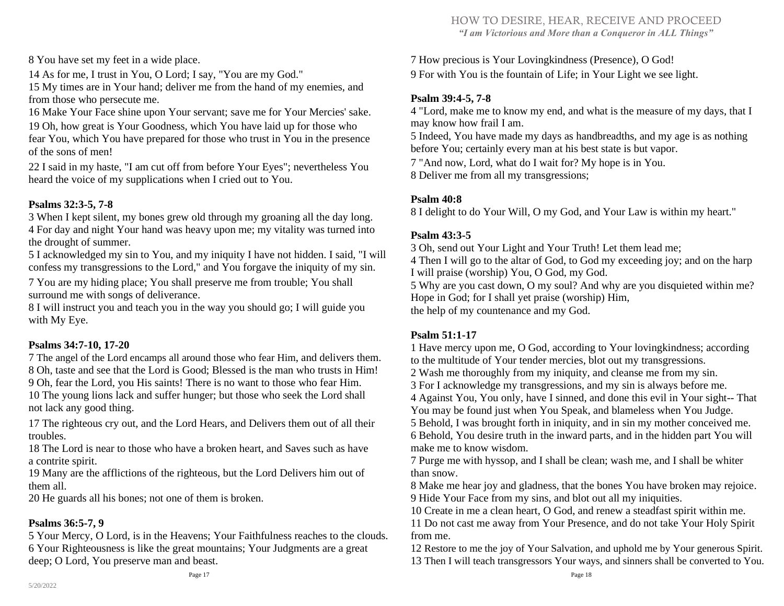8 You have set my feet in a wide place.

14 As for me, I trust in You, O Lord; I say, "You are my God."

15 My times are in Your hand; deliver me from the hand of my enemies, and from those who persecute me.

16 Make Your Face shine upon Your servant; save me for Your Mercies' sake. 19 Oh, how great is Your Goodness, which You have laid up for those who fear You, which You have prepared for those who trust in You in the presence of the sons of men!

22 I said in my haste, "I am cut off from before Your Eyes"; nevertheless You heard the voice of my supplications when I cried out to You.

#### **Psalms 32:3-5, 7-8**

3 When I kept silent, my bones grew old through my groaning all the day long. 4 For day and night Your hand was heavy upon me; my vitality was turned into the drought of summer.

5 I acknowledged my sin to You, and my iniquity I have not hidden. I said, "I will confess my transgressions to the Lord," and You forgave the iniquity of my sin.

7 You are my hiding place; You shall preserve me from trouble; You shall surround me with songs of deliverance.

8 I will instruct you and teach you in the way you should go; I will guide you with My Eye.

#### **Psalms 34:7-10, 17-20**

 The angel of the Lord encamps all around those who fear Him, and delivers them. Oh, taste and see that the Lord is Good; Blessed is the man who trusts in Him! Oh, fear the Lord, you His saints! There is no want to those who fear Him. The young lions lack and suffer hunger; but those who seek the Lord shall not lack any good thing.

17 The righteous cry out, and the Lord Hears, and Delivers them out of all their troubles.

18 The Lord is near to those who have a broken heart, and Saves such as have a contrite spirit.

19 Many are the afflictions of the righteous, but the Lord Delivers him out of them all.

20 He guards all his bones; not one of them is broken.

#### **Psalms 36:5-7, 9**

5 Your Mercy, O Lord, is in the Heavens; Your Faithfulness reaches to the clouds. 6 Your Righteousness is like the great mountains; Your Judgments are a great deep; O Lord, You preserve man and beast.

7 How precious is Your Lovingkindness (Presence), O God! 9 For with You is the fountain of Life; in Your Light we see light.

#### **Psalm 39:4-5, 7-8**

4 "Lord, make me to know my end, and what is the measure of my days, that I may know how frail I am.

5 Indeed, You have made my days as handbreadths, and my age is as nothing before You; certainly every man at his best state is but vapor.

7 "And now, Lord, what do I wait for? My hope is in You.

8 Deliver me from all my transgressions;

#### **Psalm 40:8**

8 I delight to do Your Will, O my God, and Your Law is within my heart."

#### **Psalm 43:3-5**

3 Oh, send out Your Light and Your Truth! Let them lead me;

4 Then I will go to the altar of God, to God my exceeding joy; and on the harp I will praise (worship) You, O God, my God.

5 Why are you cast down, O my soul? And why are you disquieted within me? Hope in God; for I shall yet praise (worship) Him,

the help of my countenance and my God.

#### **Psalm 51:1-17**

1 Have mercy upon me, O God, according to Your lovingkindness; according to the multitude of Your tender mercies, blot out my transgressions.

2 Wash me thoroughly from my iniquity, and cleanse me from my sin.

3 For I acknowledge my transgressions, and my sin is always before me.

4 Against You, You only, have I sinned, and done this evil in Your sight-- That You may be found just when You Speak, and blameless when You Judge.

5 Behold, I was brought forth in iniquity, and in sin my mother conceived me. 6 Behold, You desire truth in the inward parts, and in the hidden part You will make me to know wisdom.

7 Purge me with hyssop, and I shall be clean; wash me, and I shall be whiter than snow.

8 Make me hear joy and gladness, that the bones You have broken may rejoice. 9 Hide Your Face from my sins, and blot out all my iniquities.

10 Create in me a clean heart, O God, and renew a steadfast spirit within me.

11 Do not cast me away from Your Presence, and do not take Your Holy Spirit from me.

12 Restore to me the joy of Your Salvation, and uphold me by Your generous Spirit. 13 Then I will teach transgressors Your ways, and sinners shall be converted to You.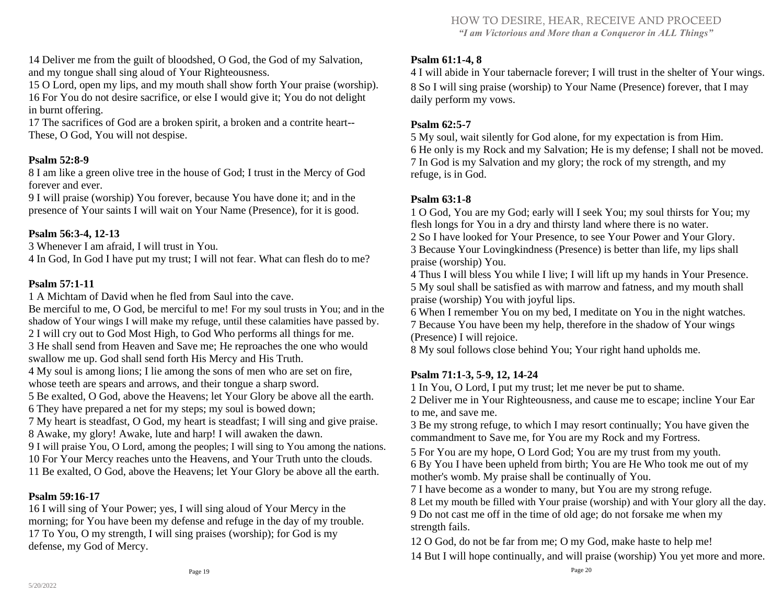14 Deliver me from the guilt of bloodshed, O God, the God of my Salvation, and my tongue shall sing aloud of Your Righteousness.

15 O Lord, open my lips, and my mouth shall show forth Your praise (worship). 16 For You do not desire sacrifice, or else I would give it; You do not delight in burnt offering.

17 The sacrifices of God are a broken spirit, a broken and a contrite heart-- These, O God, You will not despise.

#### **Psalm 52:8-9**

8 I am like a green olive tree in the house of God; I trust in the Mercy of God forever and ever.

9 I will praise (worship) You forever, because You have done it; and in the presence of Your saints I will wait on Your Name (Presence), for it is good.

#### **Psalm 56:3-4, 12-13**

3 Whenever I am afraid, I will trust in You.

4 In God, In God I have put my trust; I will not fear. What can flesh do to me?

#### **Psalm 57:1-11**

1 A Michtam of David when he fled from Saul into the cave.

Be merciful to me, O God, be merciful to me! For my soul trusts in You; and in the shadow of Your wings I will make my refuge, until these calamities have passed by. I will cry out to God Most High, to God Who performs all things for me. He shall send from Heaven and Save me; He reproaches the one who would swallow me up. God shall send forth His Mercy and His Truth. My soul is among lions; I lie among the sons of men who are set on fire, whose teeth are spears and arrows, and their tongue a sharp sword. Be exalted, O God, above the Heavens; let Your Glory be above all the earth. They have prepared a net for my steps; my soul is bowed down; My heart is steadfast, O God, my heart is steadfast; I will sing and give praise. Awake, my glory! Awake, lute and harp! I will awaken the dawn. I will praise You, O Lord, among the peoples; I will sing to You among the nations. For Your Mercy reaches unto the Heavens, and Your Truth unto the clouds. Be exalted, O God, above the Heavens; let Your Glory be above all the earth.

#### **Psalm 59:16-17**

16 I will sing of Your Power; yes, I will sing aloud of Your Mercy in the morning; for You have been my defense and refuge in the day of my trouble. 17 To You, O my strength, I will sing praises (worship); for God is my defense, my God of Mercy.

#### **Psalm 61:1-4, 8**

4 I will abide in Your tabernacle forever; I will trust in the shelter of Your wings. 8 So I will sing praise (worship) to Your Name (Presence) forever, that I may daily perform my vows.

#### **Psalm 62:5-7**

 My soul, wait silently for God alone, for my expectation is from Him. He only is my Rock and my Salvation; He is my defense; I shall not be moved. In God is my Salvation and my glory; the rock of my strength, and my refuge, is in God.

#### **Psalm 63:1-8**

1 O God, You are my God; early will I seek You; my soul thirsts for You; my flesh longs for You in a dry and thirsty land where there is no water. 2 So I have looked for Your Presence, to see Your Power and Your Glory. 3 Because Your Lovingkindness (Presence) is better than life, my lips shall praise (worship) You.

4 Thus I will bless You while I live; I will lift up my hands in Your Presence. 5 My soul shall be satisfied as with marrow and fatness, and my mouth shall praise (worship) You with joyful lips.

6 When I remember You on my bed, I meditate on You in the night watches. 7 Because You have been my help, therefore in the shadow of Your wings (Presence) I will rejoice.

8 My soul follows close behind You; Your right hand upholds me.

#### **Psalm 71:1-3, 5-9, 12, 14-24**

1 In You, O Lord, I put my trust; let me never be put to shame.

2 Deliver me in Your Righteousness, and cause me to escape; incline Your Ear to me, and save me.

3 Be my strong refuge, to which I may resort continually; You have given the commandment to Save me, for You are my Rock and my Fortress.

5 For You are my hope, O Lord God; You are my trust from my youth. 6 By You I have been upheld from birth; You are He Who took me out of my mother's womb. My praise shall be continually of You.

7 I have become as a wonder to many, but You are my strong refuge.

8 Let my mouth be filled with Your praise (worship) and with Your glory all the day. 9 Do not cast me off in the time of old age; do not forsake me when my strength fails.

12 O God, do not be far from me; O my God, make haste to help me!

14 But I will hope continually, and will praise (worship) You yet more and more.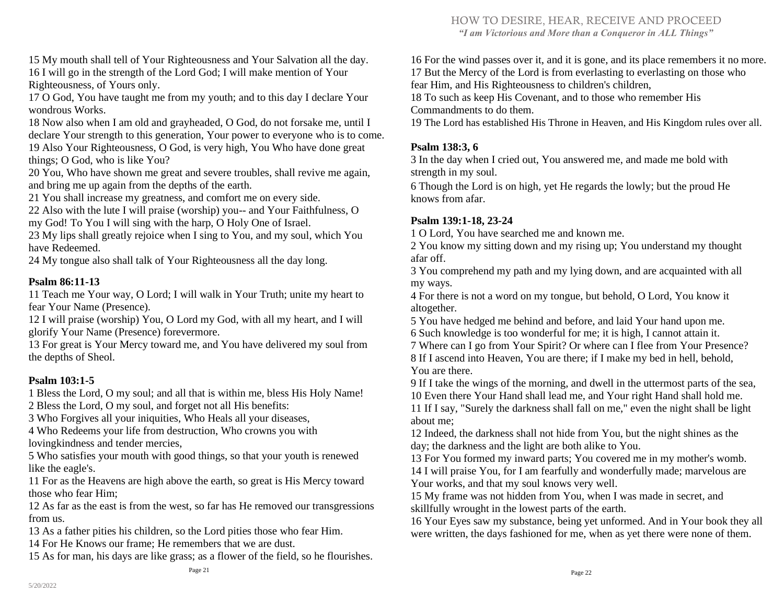HOW TO DESIRE, HEAR, RECEIVE AND PROCEED *"I am Victorious and More than a Conqueror in ALL Things"* 

15 My mouth shall tell of Your Righteousness and Your Salvation all the day. 16 I will go in the strength of the Lord God; I will make mention of Your Righteousness, of Yours only.

17 O God, You have taught me from my youth; and to this day I declare Your wondrous Works.

18 Now also when I am old and grayheaded, O God, do not forsake me, until I declare Your strength to this generation, Your power to everyone who is to come. 19 Also Your Righteousness, O God, is very high, You Who have done great things; O God, who is like You?

20 You, Who have shown me great and severe troubles, shall revive me again, and bring me up again from the depths of the earth.

21 You shall increase my greatness, and comfort me on every side.

22 Also with the lute I will praise (worship) you-- and Your Faithfulness, O my God! To You I will sing with the harp, O Holy One of Israel.

23 My lips shall greatly rejoice when I sing to You, and my soul, which You have Redeemed.

24 My tongue also shall talk of Your Righteousness all the day long.

#### **Psalm 86:11-13**

11 Teach me Your way, O Lord; I will walk in Your Truth; unite my heart to fear Your Name (Presence).

12 I will praise (worship) You, O Lord my God, with all my heart, and I will glorify Your Name (Presence) forevermore.

13 For great is Your Mercy toward me, and You have delivered my soul from the depths of Sheol.

#### **Psalm 103:1-5**

1 Bless the Lord, O my soul; and all that is within me, bless His Holy Name! 2 Bless the Lord, O my soul, and forget not all His benefits:

3 Who Forgives all your iniquities, Who Heals all your diseases,

4 Who Redeems your life from destruction, Who crowns you with lovingkindness and tender mercies,

5 Who satisfies your mouth with good things, so that your youth is renewed like the eagle's.

11 For as the Heavens are high above the earth, so great is His Mercy toward those who fear Him;

12 As far as the east is from the west, so far has He removed our transgressions from us.

13 As a father pities his children, so the Lord pities those who fear Him.

14 For He Knows our frame; He remembers that we are dust.

15 As for man, his days are like grass; as a flower of the field, so he flourishes.

16 For the wind passes over it, and it is gone, and its place remembers it no more. 17 But the Mercy of the Lord is from everlasting to everlasting on those who fear Him, and His Righteousness to children's children,

18 To such as keep His Covenant, and to those who remember His Commandments to do them.

19 The Lord has established His Throne in Heaven, and His Kingdom rules over all.

#### **Psalm 138:3, 6**

3 In the day when I cried out, You answered me, and made me bold with strength in my soul.

6 Though the Lord is on high, yet He regards the lowly; but the proud He knows from afar.

#### **Psalm 139:1-18, 23-24**

1 O Lord, You have searched me and known me.

2 You know my sitting down and my rising up; You understand my thought afar off.

3 You comprehend my path and my lying down, and are acquainted with all my ways.

4 For there is not a word on my tongue, but behold, O Lord, You know it altogether.

5 You have hedged me behind and before, and laid Your hand upon me. 6 Such knowledge is too wonderful for me; it is high, I cannot attain it.

7 Where can I go from Your Spirit? Or where can I flee from Your Presence? 8 If I ascend into Heaven, You are there; if I make my bed in hell, behold, You are there.

9 If I take the wings of the morning, and dwell in the uttermost parts of the sea, 10 Even there Your Hand shall lead me, and Your right Hand shall hold me.

11 If I say, "Surely the darkness shall fall on me," even the night shall be light about me;

12 Indeed, the darkness shall not hide from You, but the night shines as the day; the darkness and the light are both alike to You.

13 For You formed my inward parts; You covered me in my mother's womb. 14 I will praise You, for I am fearfully and wonderfully made; marvelous are Your works, and that my soul knows very well.

15 My frame was not hidden from You, when I was made in secret, and skillfully wrought in the lowest parts of the earth.

16 Your Eyes saw my substance, being yet unformed. And in Your book they all were written, the days fashioned for me, when as yet there were none of them.